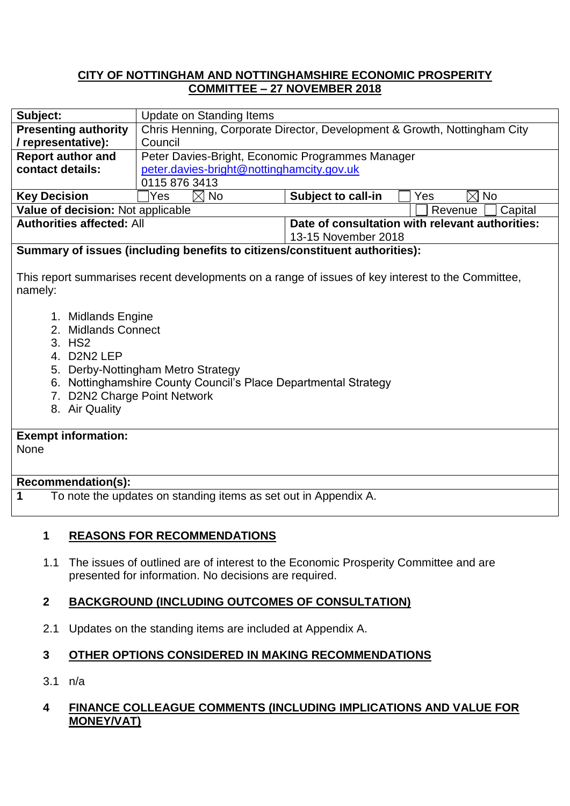### **CITY OF NOTTINGHAM AND NOTTINGHAMSHIRE ECONOMIC PROSPERITY COMMITTEE – 27 NOVEMBER 2018**

| Subject:                                     | Update on Standing Items                                                 |                                                    |
|----------------------------------------------|--------------------------------------------------------------------------|----------------------------------------------------|
| <b>Presenting authority</b>                  | Chris Henning, Corporate Director, Development & Growth, Nottingham City |                                                    |
| / representative):                           | Council                                                                  |                                                    |
| <b>Report author and</b>                     | Peter Davies-Bright, Economic Programmes Manager                         |                                                    |
| contact details:                             | peter.davies-bright@nottinghamcity.gov.uk                                |                                                    |
|                                              | 0115 876 3413                                                            |                                                    |
| <b>Key Decision</b>                          | $\boxtimes$ No<br>Yes                                                    | $\boxtimes$ No<br><b>Subject to call-in</b><br>Yes |
| Value of decision: Not applicable<br>Revenue |                                                                          | Capital                                            |
| <b>Authorities affected: All</b>             |                                                                          | Date of consultation with relevant authorities:    |
|                                              |                                                                          | 13-15 November 2018                                |

### **Summary of issues (including benefits to citizens/constituent authorities):**

This report summarises recent developments on a range of issues of key interest to the Committee, namely:

- 1. Midlands Engine
- 2. Midlands Connect
- 3. HS2
- 4. D2N2 LEP
- 5. Derby-Nottingham Metro Strategy
- 6. Nottinghamshire County Council's Place Departmental Strategy
- 7. D2N2 Charge Point Network
- 8. Air Quality

# **Exempt information:**

None

#### **Recommendation(s):**

**1** To note the updates on standing items as set out in Appendix A.

### **1 REASONS FOR RECOMMENDATIONS**

1.1 The issues of outlined are of interest to the Economic Prosperity Committee and are presented for information. No decisions are required.

### **2 BACKGROUND (INCLUDING OUTCOMES OF CONSULTATION)**

2.1 Updates on the standing items are included at Appendix A.

### **3 OTHER OPTIONS CONSIDERED IN MAKING RECOMMENDATIONS**

3.1 n/a

### **4 FINANCE COLLEAGUE COMMENTS (INCLUDING IMPLICATIONS AND VALUE FOR MONEY/VAT)**